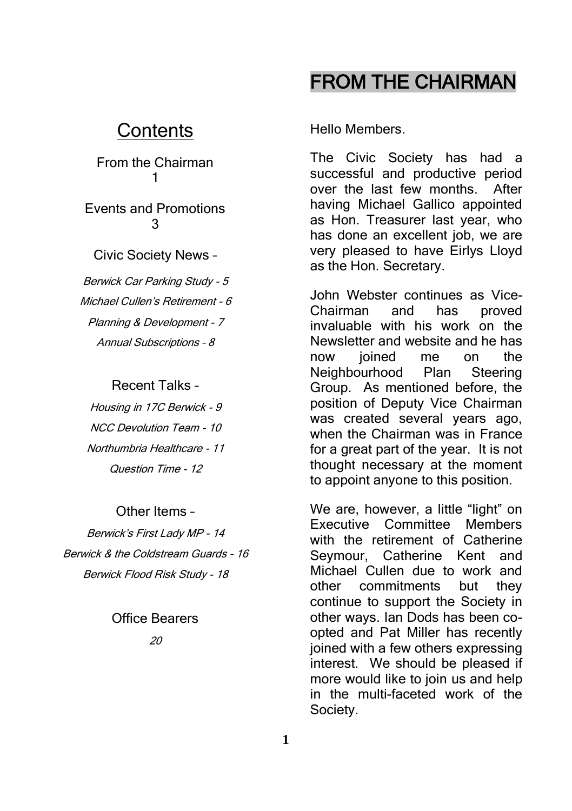## FROM THE CHAIRMAN

### **Contents**

From the Chairman 1

Events and Promotions 3

Civic Society News –

Berwick Car Parking Study - 5 Michael Cullen's Retirement - 6 Planning & Development - 7 Annual Subscriptions – 8

#### Recent Talks –

Housing in 17C Berwick - 9 NCC Devolution Team - 10 Northumbria Healthcare - 11 Question Time - 12

#### Other Items –

Berwick's First Lady MP - 14 Berwick & the Coldstream Guards - 16 Berwick Flood Risk Study - 18

#### Office Bearers

 $20$ 

Hello Members.

The Civic Society has had a successful and productive period over the last few months. After having Michael Gallico appointed as Hon. Treasurer last year, who has done an excellent job, we are very pleased to have Eirlys Lloyd as the Hon. Secretary.

John Webster continues as Vice-Chairman and has proved invaluable with his work on the Newsletter and website and he has now joined me on the Neighbourhood Plan Steering Group. As mentioned before, the position of Deputy Vice Chairman was created several years ago, when the Chairman was in France for a great part of the year. It is not thought necessary at the moment to appoint anyone to this position.

We are, however, a little "light" on Executive Committee Members with the retirement of Catherine Seymour, Catherine Kent and Michael Cullen due to work and other commitments but they continue to support the Society in other ways. Ian Dods has been coopted and Pat Miller has recently joined with a few others expressing interest. We should be pleased if more would like to join us and help in the multi-faceted work of the Society.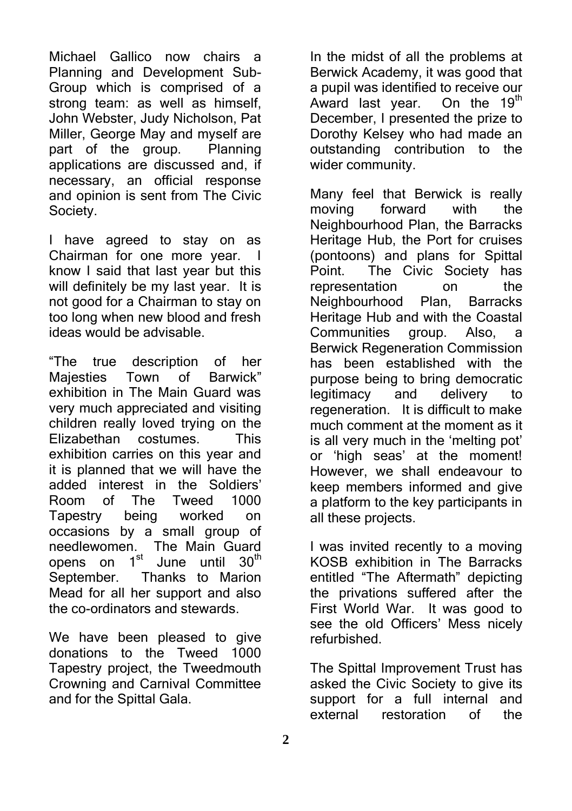Michael Gallico now chairs a Planning and Development Sub-Group which is comprised of a strong team: as well as himself. John Webster, Judy Nicholson, Pat Miller, George May and myself are part of the group. Planning applications are discussed and, if necessary, an official response and opinion is sent from The Civic Society.

I have agreed to stay on as Chairman for one more year. I know I said that last year but this will definitely be my last year. It is not good for a Chairman to stay on too long when new blood and fresh ideas would be advisable.

"The true description of her Majesties Town of Barwick" exhibition in The Main Guard was very much appreciated and visiting children really loved trying on the Elizabethan costumes. This exhibition carries on this year and it is planned that we will have the added interest in the Soldiers' Room of The Tweed 1000 Tapestry being worked on occasions by a small group of needlewomen. The Main Guard opens on 1<sup>st</sup> June until 30<sup>th</sup> September. Thanks to Marion Mead for all her support and also the co-ordinators and stewards.

We have been pleased to give donations to the Tweed 1000 Tapestry project, the Tweedmouth Crowning and Carnival Committee and for the Spittal Gala.

In the midst of all the problems at Berwick Academy, it was good that a pupil was identified to receive our<br>Award last vear. On the  $19<sup>th</sup>$ Award last year. December, I presented the prize to Dorothy Kelsey who had made an outstanding contribution to the wider community.

Many feel that Berwick is really moving forward with the Neighbourhood Plan, the Barracks Heritage Hub, the Port for cruises (pontoons) and plans for Spittal Point. The Civic Society has representation on the Neighbourhood Plan, Barracks Heritage Hub and with the Coastal Communities group. Also, a Berwick Regeneration Commission has been established with the purpose being to bring democratic legitimacy and delivery to regeneration. It is difficult to make much comment at the moment as it is all very much in the 'melting pot' or 'high seas' at the moment! However, we shall endeavour to keep members informed and give a platform to the key participants in all these projects.

I was invited recently to a moving KOSB exhibition in The Barracks entitled "The Aftermath" depicting the privations suffered after the First World War. It was good to see the old Officers' Mess nicely refurbished.

The Spittal Improvement Trust has asked the Civic Society to give its support for a full internal and external restoration of the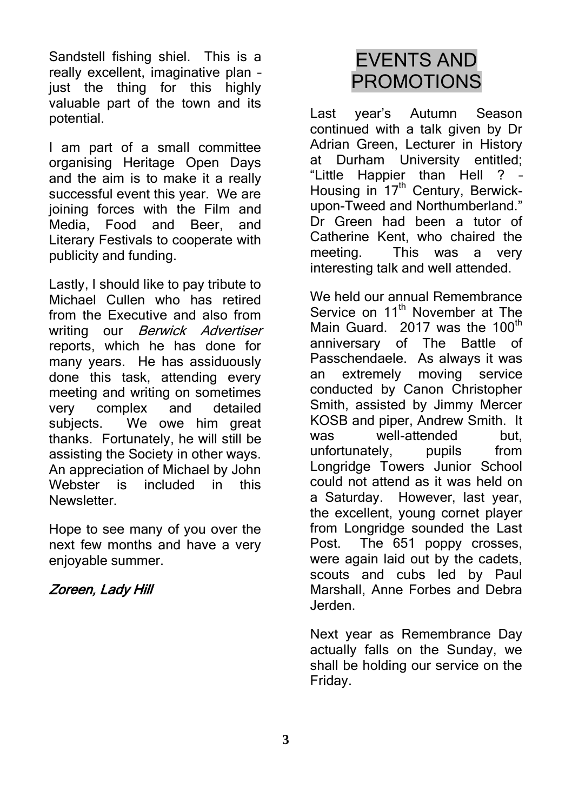Sandstell fishing shiel. This is a really excellent, imaginative plan – just the thing for this highly valuable part of the town and its potential.

I am part of a small committee organising Heritage Open Days and the aim is to make it a really successful event this year. We are joining forces with the Film and Media, Food and Beer, and Literary Festivals to cooperate with publicity and funding.

Lastly, I should like to pay tribute to Michael Cullen who has retired from the Executive and also from writing our *Berwick Advertiser* reports, which he has done for many years. He has assiduously done this task, attending every meeting and writing on sometimes very complex and detailed subjects. We owe him great thanks. Fortunately, he will still be assisting the Society in other ways. An appreciation of Michael by John Webster is included in this Newsletter.

Hope to see many of you over the next few months and have a very enjoyable summer.

#### Zoreen, Lady Hill

# EVENTS AND PROMOTIONS

Last year's Autumn Season continued with a talk given by Dr Adrian Green, Lecturer in History at Durham University entitled; "Little Happier than Hell ? – Housing in 17<sup>th</sup> Century, Berwickupon-Tweed and Northumberland." Dr Green had been a tutor of Catherine Kent, who chaired the meeting. This was a very interesting talk and well attended.

We held our annual Remembrance Service on 11<sup>th</sup> November at The Main Guard.  $2017$  was the  $100<sup>th</sup>$ anniversary of The Battle of Passchendaele. As always it was an extremely moving service conducted by Canon Christopher Smith, assisted by Jimmy Mercer KOSB and piper, Andrew Smith. It was well-attended but, unfortunately, pupils from Longridge Towers Junior School could not attend as it was held on a Saturday. However, last year, the excellent, young cornet player from Longridge sounded the Last Post. The 651 poppy crosses, were again laid out by the cadets, scouts and cubs led by Paul Marshall, Anne Forbes and Debra Jerden.

Next year as Remembrance Day actually falls on the Sunday, we shall be holding our service on the Friday.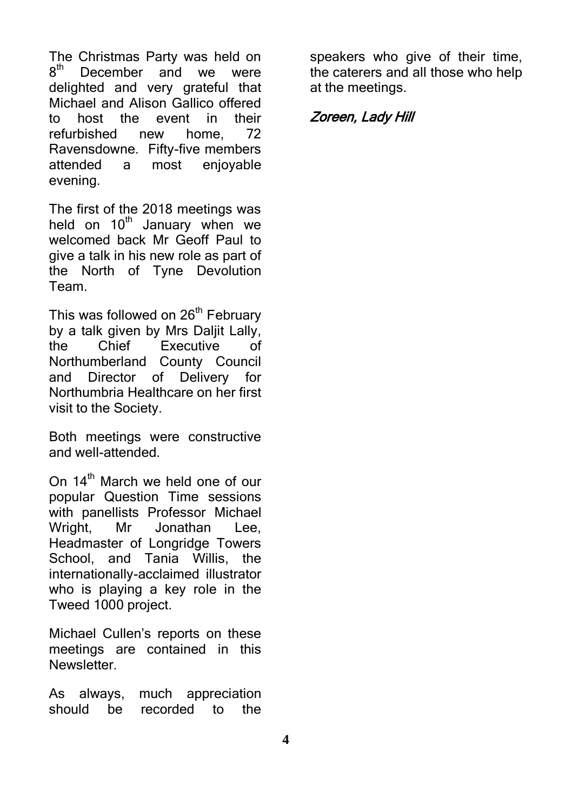The Christmas Party was held on  $8^{\rm th}$ December and we were delighted and very grateful that Michael and Alison Gallico offered to host the event in their refurbished new home, 72 Ravensdowne. Fifty-five members attended a most enjoyable evening.

The first of the 2018 meetings was held on  $10<sup>th</sup>$  January when we welcomed back Mr Geoff Paul to give a talk in his new role as part of the North of Tyne Devolution Team.

This was followed on 26<sup>th</sup> February by a talk given by Mrs Daljit Lally, the Chief Executive of Northumberland County Council and Director of Delivery for Northumbria Healthcare on her first visit to the Society.

Both meetings were constructive and well-attended.

On 14<sup>th</sup> March we held one of our popular Question Time sessions with panellists Professor Michael Wright, Mr Jonathan Lee, Headmaster of Longridge Towers School, and Tania Willis, the internationally-acclaimed illustrator who is playing a key role in the Tweed 1000 project.

Michael Cullen's reports on these meetings are contained in this **Newsletter** 

As always, much appreciation should be recorded to the

speakers who give of their time, the caterers and all those who help at the meetings.

#### Zoreen, Lady Hill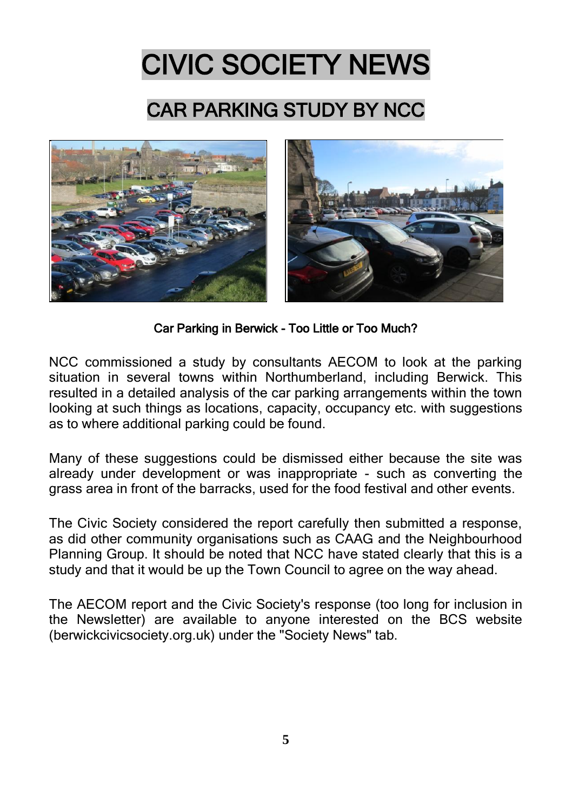# CIVIC SOCIETY NEWS

# CAR PARKING STUDY BY NCC



Car Parking in Berwick - Too Little or Too Much?

NCC commissioned a study by consultants AECOM to look at the parking situation in several towns within Northumberland, including Berwick. This resulted in a detailed analysis of the car parking arrangements within the town looking at such things as locations, capacity, occupancy etc. with suggestions as to where additional parking could be found.

Many of these suggestions could be dismissed either because the site was already under development or was inappropriate - such as converting the grass area in front of the barracks, used for the food festival and other events.

The Civic Society considered the report carefully then submitted a response, as did other community organisations such as CAAG and the Neighbourhood Planning Group. It should be noted that NCC have stated clearly that this is a study and that it would be up the Town Council to agree on the way ahead.

The AECOM report and the Civic Society's response (too long for inclusion in the Newsletter) are available to anyone interested on the BCS website (berwickcivicsociety.org.uk) under the "Society News" tab.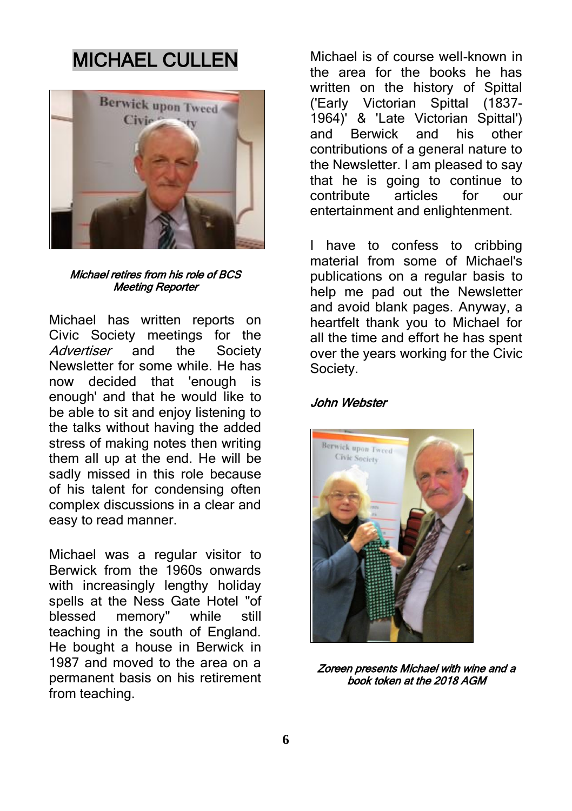# MICHAEL CULLEN



#### Michael retires from his role of BCS Meeting Reporter

Michael has written reports on Civic Society meetings for the Advertiser and the Society Newsletter for some while. He has now decided that 'enough is enough' and that he would like to be able to sit and enjoy listening to the talks without having the added stress of making notes then writing them all up at the end. He will be sadly missed in this role because of his talent for condensing often complex discussions in a clear and easy to read manner.

Michael was a regular visitor to Berwick from the 1960s onwards with increasingly lengthy holiday spells at the Ness Gate Hotel "of blessed memory" while still teaching in the south of England. He bought a house in Berwick in 1987 and moved to the area on a permanent basis on his retirement from teaching.

Michael is of course well-known in the area for the books he has written on the history of Spittal ('Early Victorian Spittal (1837- 1964)' & 'Late Victorian Spittal') and Berwick and his other contributions of a general nature to the Newsletter. I am pleased to say that he is going to continue to<br>contribute articles for our contribute articles for our entertainment and enlightenment.

I have to confess to cribbing material from some of Michael's publications on a regular basis to help me pad out the Newsletter and avoid blank pages. Anyway, a heartfelt thank you to Michael for all the time and effort he has spent over the years working for the Civic Society.

#### John Webster



Zoreen presents Michael with wine and a book token at the 2018 AGM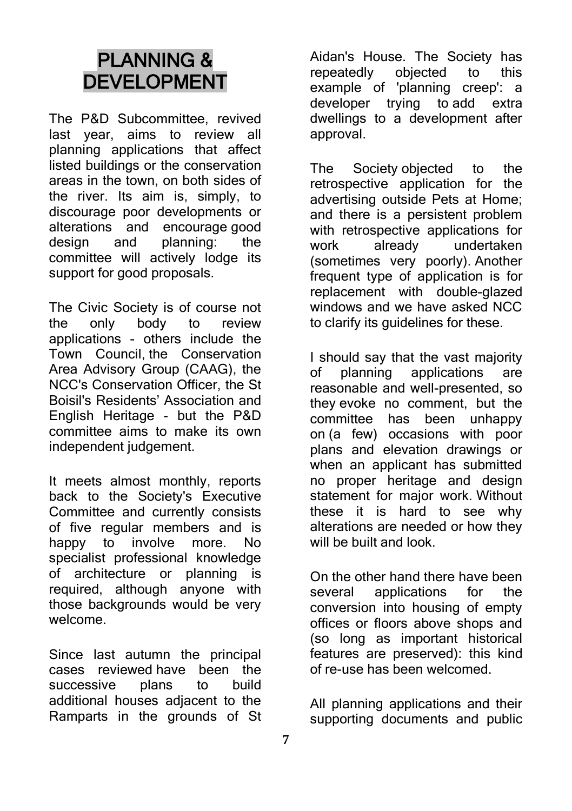# PLANNING & DEVELOPMENT

The P&D Subcommittee, revived last year, aims to review all planning applications that affect listed buildings or the conservation areas in the town, on both sides of the river. Its aim is, simply, to discourage poor developments or alterations and encourage good design and planning: the committee will actively lodge its support for good proposals.

The Civic Society is of course not the only body to review applications - others include the Town Council, the Conservation Area Advisory Group (CAAG), the NCC's Conservation Officer, the St Boisil's Residents' Association and English Heritage - but the P&D committee aims to make its own independent judgement.

It meets almost monthly, reports back to the Society's Executive Committee and currently consists of five regular members and is happy to involve more. No specialist professional knowledge of architecture or planning is required, although anyone with those backgrounds would be very welcome.

Since last autumn the principal cases reviewed have been the successive plans to build additional houses adjacent to the Ramparts in the grounds of St Aidan's House. The Society has<br>repeatedly objected to this repeatedly objected to this example of 'planning creep': a developer trying to add extra dwellings to a development after approval.

The Society objected to the retrospective application for the advertising outside Pets at Home; and there is a persistent problem with retrospective applications for work already undertaken (sometimes very poorly). Another frequent type of application is for replacement with double-glazed windows and we have asked NCC to clarify its guidelines for these.

I should say that the vast majority of planning applications are reasonable and well-presented, so they evoke no comment, but the committee has been unhappy on (a few) occasions with poor plans and elevation drawings or when an applicant has submitted no proper heritage and design statement for major work. Without these it is hard to see why alterations are needed or how they will be built and look.

On the other hand there have been several applications for the conversion into housing of empty offices or floors above shops and (so long as important historical features are preserved): this kind of re-use has been welcomed.

All planning applications and their supporting documents and public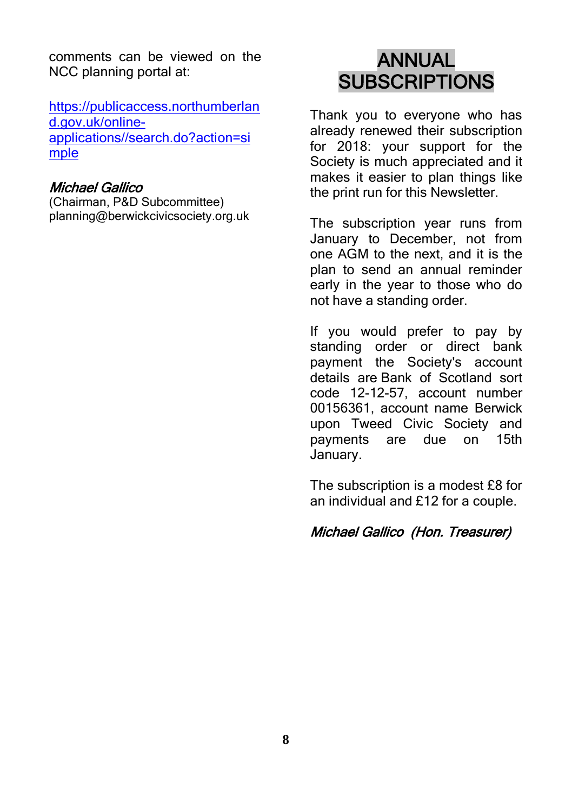comments can be viewed on the NCC planning portal at:

[https://publicaccess.northumberlan](https://publicaccess.northumberland.gov.uk/online-applications/search.do?action=simple) [d.gov.uk/online](https://publicaccess.northumberland.gov.uk/online-applications/search.do?action=simple)[applications//search.do?action=si](https://publicaccess.northumberland.gov.uk/online-applications/search.do?action=simple) [mple](https://publicaccess.northumberland.gov.uk/online-applications/search.do?action=simple)

#### Michael Gallico

(Chairman, P&D Subcommittee) planning@berwickcivicsociety.org.uk

## ANNUAL **SUBSCRIPTIONS**

Thank you to everyone who has already renewed their subscription for 2018: your support for the Society is much appreciated and it makes it easier to plan things like the print run for this Newsletter.

The subscription year runs from January to December, not from one AGM to the next, and it is the plan to send an annual reminder early in the year to those who do not have a standing order.

If you would prefer to pay by standing order or direct bank payment the Society's account details are Bank of Scotland sort code 12-12-57, account number 00156361, account name Berwick upon Tweed Civic Society and payments are due on 15th January.

The subscription is a modest £8 for an individual and £12 for a couple.

#### Michael Gallico (Hon. Treasurer)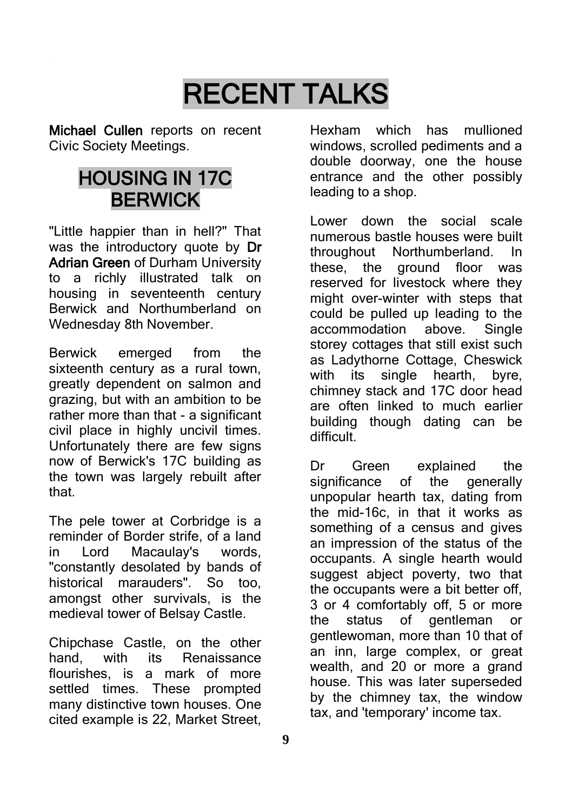# RECENT TALKS

Michael Cullen reports on recent Civic Society Meetings.

## HOUSING IN 17C BERWICK

"Little happier than in hell?" That was the introductory quote by Dr Adrian Green of Durham University to a richly illustrated talk on housing in seventeenth century Berwick and Northumberland on Wednesday 8th November.

Berwick emerged from the sixteenth century as a rural town. greatly dependent on salmon and grazing, but with an ambition to be rather more than that - a significant civil place in highly uncivil times. Unfortunately there are few signs now of Berwick's 17C building as the town was largely rebuilt after that.

The pele tower at Corbridge is a reminder of Border strife, of a land in Lord Macaulay's words, "constantly desolated by bands of historical marauders". So too, amongst other survivals, is the medieval tower of Belsay Castle.

Chipchase Castle, on the other hand, with its Renaissance flourishes, is a mark of more settled times. These prompted many distinctive town houses. One cited example is 22, Market Street,

Hexham which has mullioned windows, scrolled pediments and a double doorway, one the house entrance and the other possibly leading to a shop.

Lower down the social scale numerous bastle houses were built throughout Northumberland. In these, the ground floor was reserved for livestock where they might over-winter with steps that could be pulled up leading to the accommodation above. Single storey cottages that still exist such as Ladythorne Cottage, Cheswick with its single hearth, byre, chimney stack and 17C door head are often linked to much earlier building though dating can be difficult.

Dr Green explained the significance of the generally unpopular hearth tax, dating from the mid-16c, in that it works as something of a census and gives an impression of the status of the occupants. A single hearth would suggest abject poverty, two that the occupants were a bit better off, 3 or 4 comfortably off, 5 or more the status of gentleman or gentlewoman, more than 10 that of an inn, large complex, or great wealth, and 20 or more a grand house. This was later superseded by the chimney tax, the window tax, and 'temporary' income tax.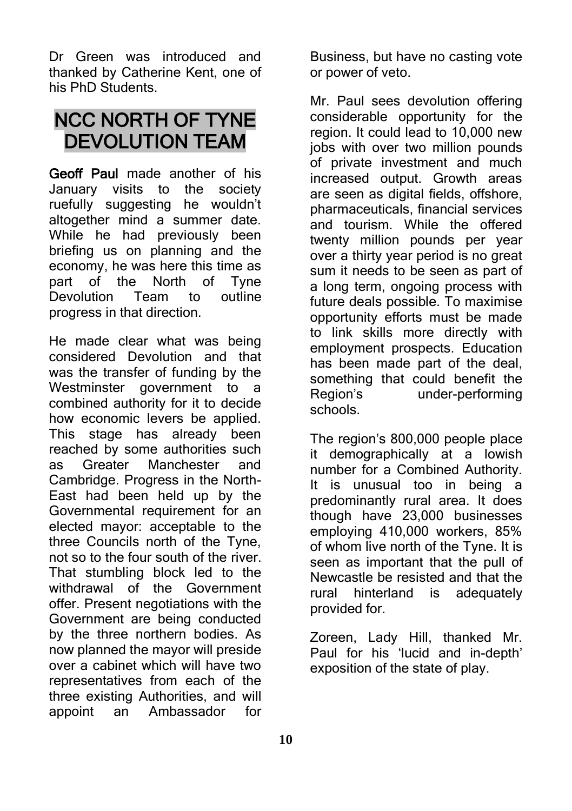Dr Green was introduced and thanked by Catherine Kent, one of his PhD Students.

# NCC NORTH OF TYNE DEVOLUTION TEAM

Geoff Paul made another of his January visits to the society ruefully suggesting he wouldn't altogether mind a summer date. While he had previously been briefing us on planning and the economy, he was here this time as part of the North of Tyne Devolution Team to outline progress in that direction.

He made clear what was being considered Devolution and that was the transfer of funding by the Westminster government to a combined authority for it to decide how economic levers be applied. This stage has already been reached by some authorities such as Greater Manchester and Cambridge. Progress in the North-East had been held up by the Governmental requirement for an elected mayor: acceptable to the three Councils north of the Tyne, not so to the four south of the river. That stumbling block led to the withdrawal of the Government offer. Present negotiations with the Government are being conducted by the three northern bodies. As now planned the mayor will preside over a cabinet which will have two representatives from each of the three existing Authorities, and will appoint an Ambassador for

Business, but have no casting vote or power of veto.

Mr. Paul sees devolution offering considerable opportunity for the region. It could lead to 10,000 new jobs with over two million pounds of private investment and much increased output. Growth areas are seen as digital fields, offshore, pharmaceuticals, financial services and tourism. While the offered twenty million pounds per year over a thirty year period is no great sum it needs to be seen as part of a long term, ongoing process with future deals possible. To maximise opportunity efforts must be made to link skills more directly with employment prospects. Education has been made part of the deal, something that could benefit the Region's under-performing schools.

The region's 800,000 people place it demographically at a lowish number for a Combined Authority. It is unusual too in being a predominantly rural area. It does though have 23,000 businesses employing 410,000 workers, 85% of whom live north of the Tyne. It is seen as important that the pull of Newcastle be resisted and that the rural hinterland is adequately provided for.

Zoreen, Lady Hill, thanked Mr. Paul for his 'lucid and in-depth' exposition of the state of play.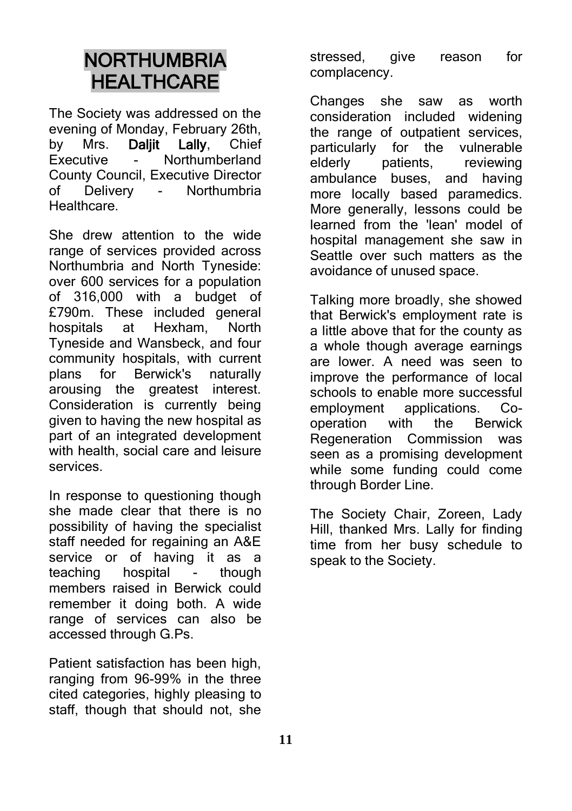## **NORTHUMBRIA HEALTHCARE**

The Society was addressed on the evening of Monday, February 26th, by Mrs. Daljit Lally, Chief<br>Executive - Northumberland - Northumberland County Council, Executive Director<br>of Delivery - Northumbria - Northumbria **Healthcare** 

She drew attention to the wide range of services provided across Northumbria and North Tyneside: over 600 services for a population of 316,000 with a budget of £790m. These included general<br>hospitals at Hexham North hospitals at Hexham, North Tyneside and Wansbeck, and four community hospitals, with current plans for Berwick's naturally arousing the greatest interest. Consideration is currently being given to having the new hospital as part of an integrated development with health, social care and leisure services.

In response to questioning though she made clear that there is no possibility of having the specialist staff needed for regaining an A&E service or of having it as a teaching hospital - though members raised in Berwick could remember it doing both. A wide range of services can also be accessed through G.Ps.

Patient satisfaction has been high, ranging from 96-99% in the three cited categories, highly pleasing to staff, though that should not, she

stressed, give reason for complacency.

Changes she saw as worth consideration included widening the range of outpatient services, particularly for the vulnerable elderly patients, reviewing ambulance buses, and having more locally based paramedics. More generally, lessons could be learned from the 'lean' model of hospital management she saw in Seattle over such matters as the avoidance of unused space.

Talking more broadly, she showed that Berwick's employment rate is a little above that for the county as a whole though average earnings are lower. A need was seen to improve the performance of local schools to enable more successful employment applications. Cooperation with the Berwick Regeneration Commission was seen as a promising development while some funding could come through Border Line.

The Society Chair, Zoreen, Lady Hill, thanked Mrs. Lally for finding time from her busy schedule to speak to the Society.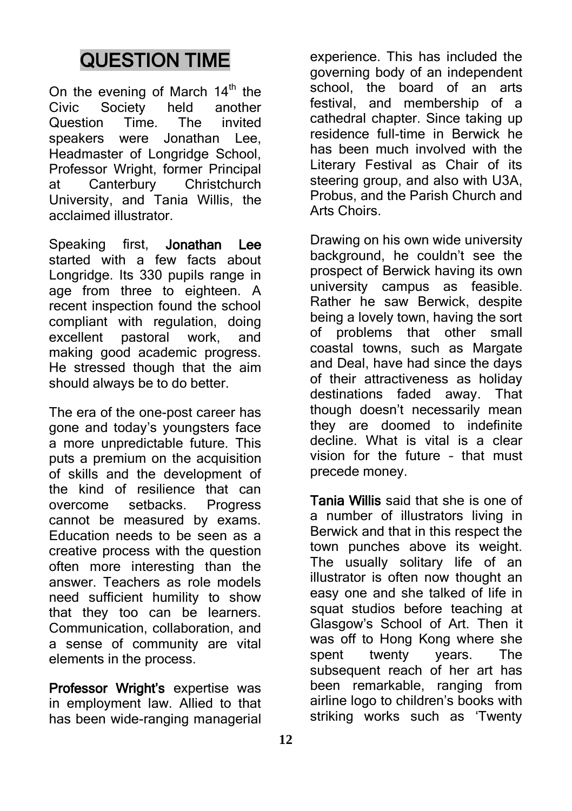# QUESTION TIME

On the evening of March  $14<sup>th</sup>$  the Civic Society held another<br>Question Time. The invited Question Time. The invited speakers were Jonathan Lee, Headmaster of Longridge School, Professor Wright, former Principal at Canterbury Christchurch University, and Tania Willis, the acclaimed illustrator.

Speaking first, Jonathan Lee started with a few facts about Longridge. Its 330 pupils range in age from three to eighteen. A recent inspection found the school compliant with regulation, doing excellent pastoral work, and making good academic progress. He stressed though that the aim should always be to do better.

The era of the one-post career has gone and today's youngsters face a more unpredictable future. This puts a premium on the acquisition of skills and the development of the kind of resilience that can overcome setbacks. Progress cannot be measured by exams. Education needs to be seen as a creative process with the question often more interesting than the answer. Teachers as role models need sufficient humility to show that they too can be learners. Communication, collaboration, and a sense of community are vital elements in the process.

Professor Wright's expertise was in employment law. Allied to that has been wide-ranging managerial

experience. This has included the governing body of an independent school, the board of an arts festival, and membership of a cathedral chapter. Since taking up residence full-time in Berwick he has been much involved with the Literary Festival as Chair of its steering group, and also with U3A, Probus, and the Parish Church and Arts Choirs.

Drawing on his own wide university background, he couldn't see the prospect of Berwick having its own university campus as feasible. Rather he saw Berwick, despite being a lovely town, having the sort of problems that other small coastal towns, such as Margate and Deal, have had since the days of their attractiveness as holiday destinations faded away. That though doesn't necessarily mean they are doomed to indefinite decline. What is vital is a clear vision for the future – that must precede money.

Tania Willis said that she is one of a number of illustrators living in Berwick and that in this respect the town punches above its weight. The usually solitary life of an illustrator is often now thought an easy one and she talked of life in squat studios before teaching at Glasgow's School of Art. Then it was off to Hong Kong where she spent twenty years. The subsequent reach of her art has been remarkable, ranging from airline logo to children's books with striking works such as 'Twenty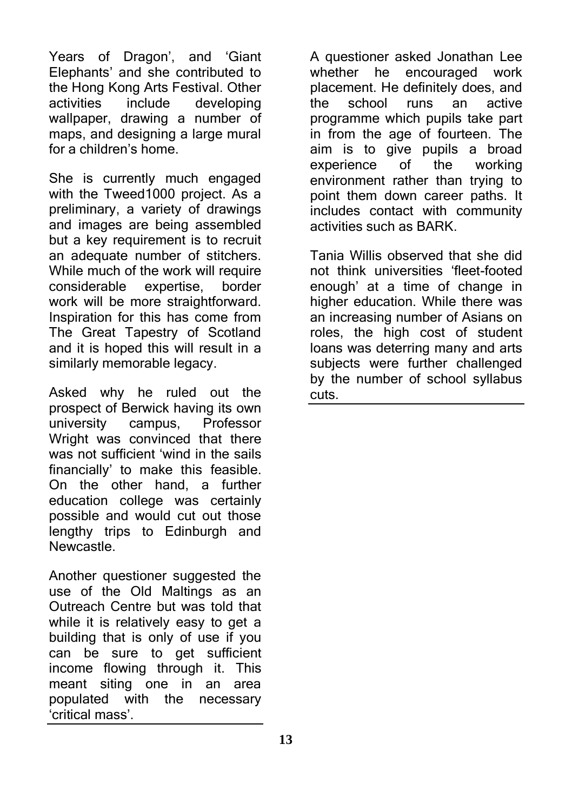Years of Dragon', and 'Giant Elephants' and she contributed to the Hong Kong Arts Festival. Other activities include developing wallpaper, drawing a number of maps, and designing a large mural for a children's home.

She is currently much engaged with the Tweed1000 project. As a preliminary, a variety of drawings and images are being assembled but a key requirement is to recruit an adequate number of stitchers. While much of the work will require considerable expertise, border work will be more straightforward. Inspiration for this has come from The Great Tapestry of Scotland and it is hoped this will result in a similarly memorable legacy.

Asked why he ruled out the prospect of Berwick having its own university campus, Professor Wright was convinced that there was not sufficient 'wind in the sails financially' to make this feasible. On the other hand, a further education college was certainly possible and would cut out those lengthy trips to Edinburgh and Newcastle.

Another questioner suggested the use of the Old Maltings as an Outreach Centre but was told that while it is relatively easy to get a building that is only of use if you can be sure to get sufficient income flowing through it. This meant siting one in an area populated with the necessary 'critical mass'.

A questioner asked Jonathan Lee whether he encouraged work placement. He definitely does, and the school runs an active programme which pupils take part in from the age of fourteen. The aim is to give pupils a broad experience of the working environment rather than trying to point them down career paths. It includes contact with community activities such as BARK.

Tania Willis observed that she did not think universities 'fleet-footed enough' at a time of change in higher education. While there was an increasing number of Asians on roles, the high cost of student loans was deterring many and arts subjects were further challenged by the number of school syllabus cuts.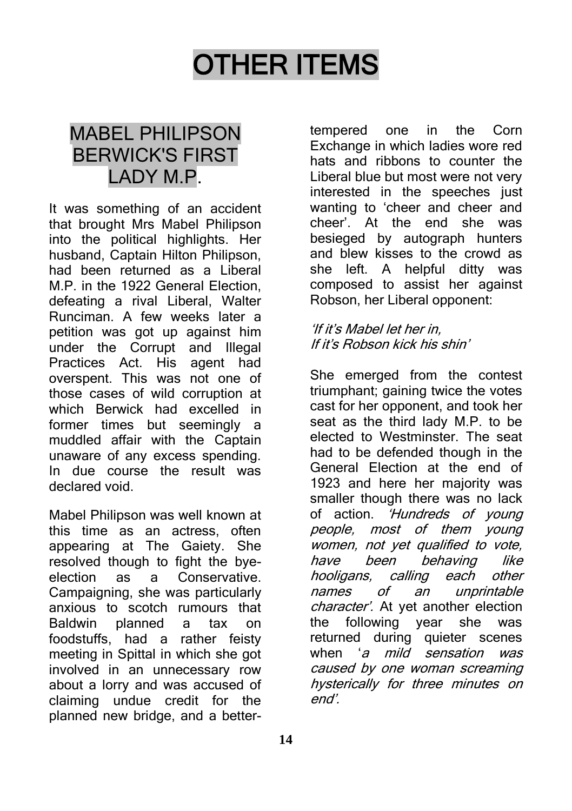# OTHER ITEMS

## MABEL PHILIPSON BERWICK'S FIRST LADY M.P.

It was something of an accident that brought Mrs Mabel Philipson into the political highlights. Her husband, Captain Hilton Philipson, had been returned as a Liberal M.P. in the 1922 General Election defeating a rival Liberal, Walter Runciman. A few weeks later a petition was got up against him under the Corrupt and Illegal Practices Act. His agent had overspent. This was not one of those cases of wild corruption at which Berwick had excelled in former times but seemingly a muddled affair with the Captain unaware of any excess spending. In due course the result was declared void.

Mabel Philipson was well known at this time as an actress, often appearing at The Gaiety. She resolved though to fight the byeelection as a Conservative. Campaigning, she was particularly anxious to scotch rumours that Baldwin planned a tax on foodstuffs, had a rather feisty meeting in Spittal in which she got involved in an unnecessary row about a lorry and was accused of claiming undue credit for the planned new bridge, and a better-

tempered one in the Corn Exchange in which ladies wore red hats and ribbons to counter the Liberal blue but most were not very interested in the speeches just wanting to 'cheer and cheer and cheer'. At the end she was besieged by autograph hunters and blew kisses to the crowd as she left. A helpful ditty was composed to assist her against Robson, her Liberal opponent:

#### 'If it's Mabel let her in, If it's Robson kick his shin'

She emerged from the contest triumphant; gaining twice the votes cast for her opponent, and took her seat as the third lady M.P. to be elected to Westminster. The seat had to be defended though in the General Election at the end of 1923 and here her majority was smaller though there was no lack of action. 'Hundreds of young people, most of them young women, not yet qualified to vote, have been behaving like hooligans, calling each other names of an unprintable character'. At yet another election the following year she was returned during quieter scenes when 'a mild sensation was caused by one woman screaming hysterically for three minutes on end'.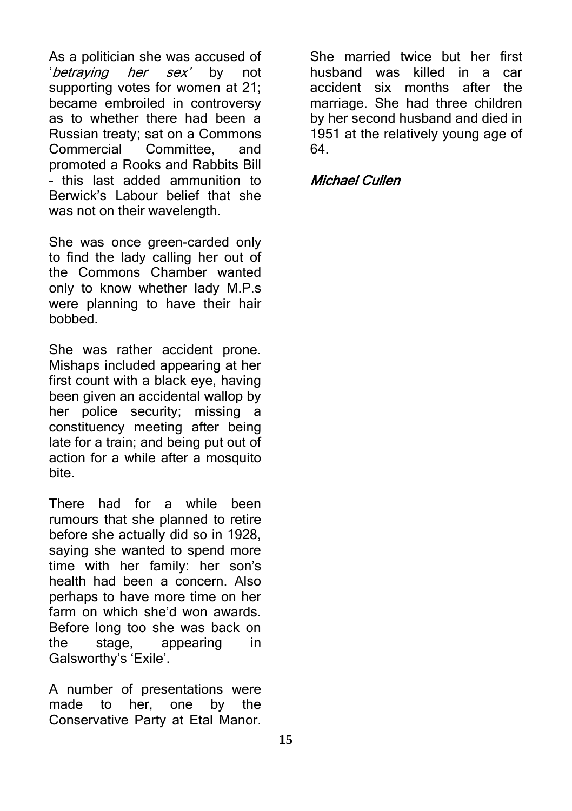As a politician she was accused of 'betraying her sex' by not supporting votes for women at 21; became embroiled in controversy as to whether there had been a Russian treaty; sat on a Commons Commercial Committee, and promoted a Rooks and Rabbits Bill – this last added ammunition to Berwick's Labour belief that she was not on their wavelength.

She was once green-carded only to find the lady calling her out of the Commons Chamber wanted only to know whether lady M.P.s were planning to have their hair bobbed.

She was rather accident prone. Mishaps included appearing at her first count with a black eye, having been given an accidental wallop by her police security; missing a constituency meeting after being late for a train; and being put out of action for a while after a mosquito bite.

There had for a while been rumours that she planned to retire before she actually did so in 1928, saying she wanted to spend more time with her family: her son's health had been a concern. Also perhaps to have more time on her farm on which she'd won awards. Before long too she was back on the stage, appearing in Galsworthy's 'Exile'.

A number of presentations were made to her, one by the Conservative Party at Etal Manor.

She married twice but her first husband was killed in a car accident six months after the marriage. She had three children by her second husband and died in 1951 at the relatively young age of 64.

#### Michael Cullen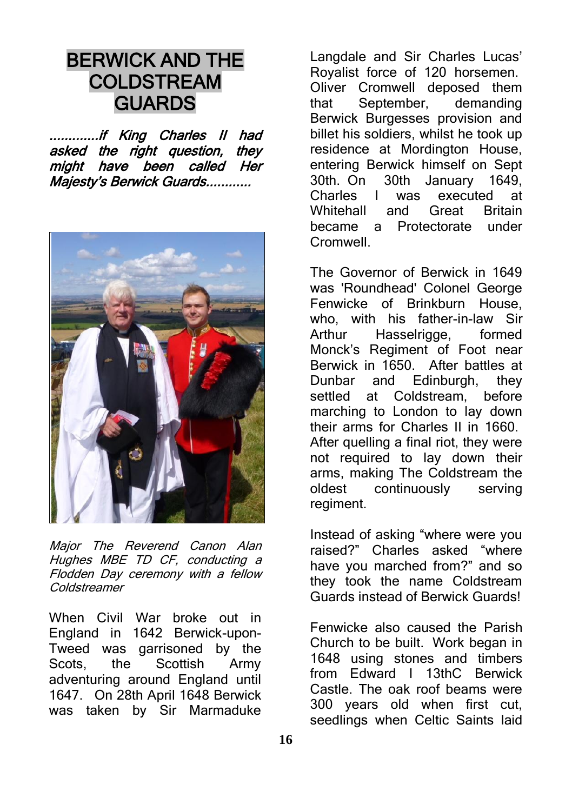## BERWICK AND THE COLDSTREAM **GUARDS**

.............if King Charles II had asked the right question, they might have been called Her Majesty's Berwick Guards............



Major The Reverend Canon Alan Hughes MBE TD CF, conducting a Flodden Day ceremony with a fellow Coldstreamer

When Civil War broke out in England in 1642 Berwick-upon-Tweed was garrisoned by the Scots, the Scottish Army adventuring around England until 1647. On 28th April 1648 Berwick was taken by Sir Marmaduke

Langdale and Sir Charles Lucas' Royalist force of 120 horsemen. Oliver Cromwell deposed them that September, demanding Berwick Burgesses provision and billet his soldiers, whilst he took up residence at Mordington House, entering Berwick himself on Sept 30th. On 30th January 1649,<br>Charles I was executed at I was executed at Whitehall and Great Britain became a Protectorate under Cromwell.

The Governor of Berwick in 1649 was 'Roundhead' Colonel George Fenwicke of Brinkburn House, who, with his father-in-law Sir Arthur Hasselrigge, formed Monck's Regiment of Foot near Berwick in 1650. After battles at Dunbar and Edinburgh, they settled at Coldstream, before marching to London to lay down their arms for Charles II in 1660. After quelling a final riot, they were not required to lay down their arms, making The Coldstream the oldest continuously serving regiment.

Instead of asking "where were you raised?" Charles asked "where have you marched from?" and so they took the name Coldstream Guards instead of Berwick Guards!

Fenwicke also caused the Parish Church to be built. Work began in 1648 using stones and timbers from Edward I 13thC Berwick Castle. The oak roof beams were 300 years old when first cut, seedlings when Celtic Saints laid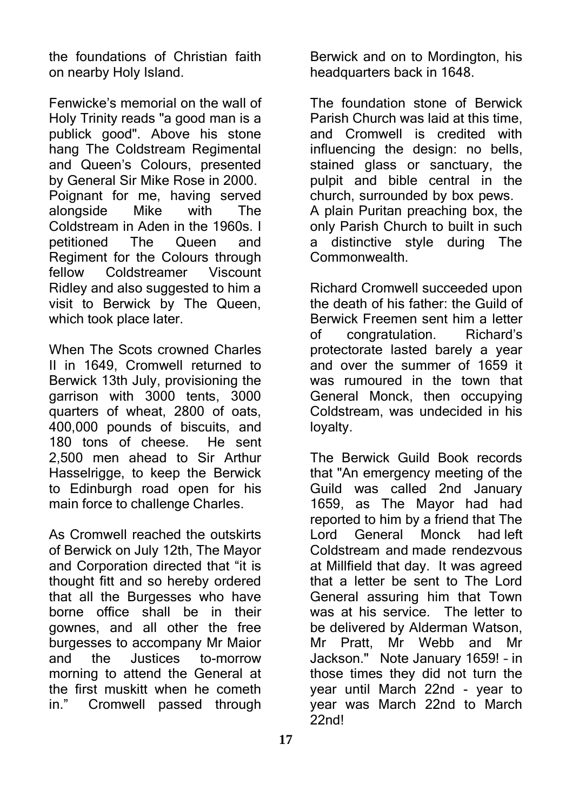the foundations of Christian faith on nearby Holy Island.

Fenwicke's memorial on the wall of Holy Trinity reads "a good man is a publick good". Above his stone hang The Coldstream Regimental and Queen's Colours, presented by General Sir Mike Rose in 2000. Poignant for me, having served alongside Mike with The Coldstream in Aden in the 1960s. I petitioned The Queen and Regiment for the Colours through fellow Coldstreamer Viscount Ridley and also suggested to him a visit to Berwick by The Queen, which took place later.

When The Scots crowned Charles II in 1649, Cromwell returned to Berwick 13th July, provisioning the garrison with 3000 tents, 3000 quarters of wheat, 2800 of oats, 400,000 pounds of biscuits, and 180 tons of cheese. He sent 2,500 men ahead to Sir Arthur Hasselrigge, to keep the Berwick to Edinburgh road open for his main force to challenge Charles.

As Cromwell reached the outskirts of Berwick on July 12th, The Mayor and Corporation directed that "it is thought fitt and so hereby ordered that all the Burgesses who have borne office shall be in their gownes, and all other the free burgesses to accompany Mr Maior and the Justices to-morrow morning to attend the General at the first muskitt when he cometh in." Cromwell passed through

Berwick and on to Mordington, his headquarters back in 1648.

The foundation stone of Berwick Parish Church was laid at this time, and Cromwell is credited with influencing the design: no bells, stained glass or sanctuary, the pulpit and bible central in the church, surrounded by box pews. A plain Puritan preaching box, the only Parish Church to built in such a distinctive style during The Commonwealth.

Richard Cromwell succeeded upon the death of his father: the Guild of Berwick Freemen sent him a letter of congratulation. Richard's protectorate lasted barely a year and over the summer of 1659 it was rumoured in the town that General Monck, then occupying Coldstream, was undecided in his loyalty.

The Berwick Guild Book records that "An emergency meeting of the Guild was called 2nd January 1659, as The Mayor had had reported to him by a friend that The Lord General Monck had left Coldstream and made rendezvous at Millfield that day. It was agreed that a letter be sent to The Lord General assuring him that Town was at his service. The letter to be delivered by Alderman Watson, Mr Pratt, Mr Webb and Mr Jackson." Note January 1659! – in those times they did not turn the year until March 22nd - year to year was March 22nd to March  $22nd!$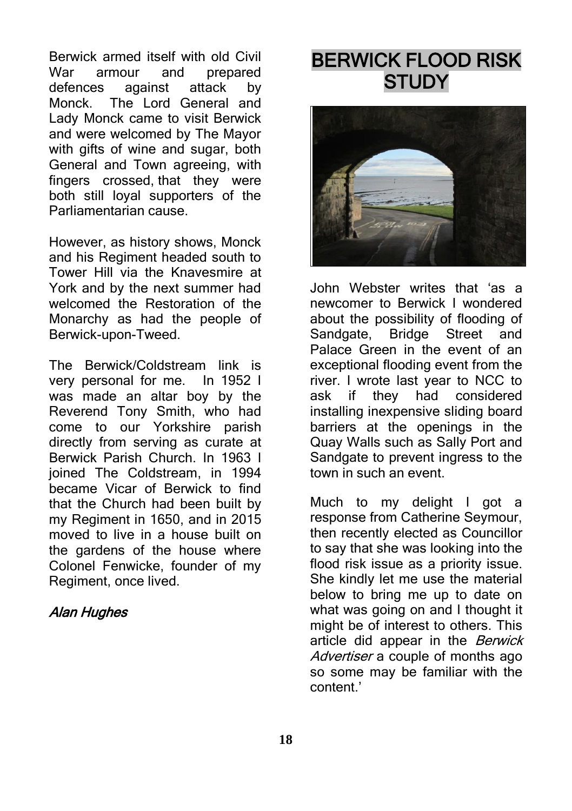Berwick armed itself with old Civil War armour and prepared defences against attack by<br>Monck The Lord-General and The Lord General and Lady Monck came to visit Berwick and were welcomed by The Mayor with gifts of wine and sugar, both General and Town agreeing, with fingers crossed, that they were both still loyal supporters of the Parliamentarian cause.

However, as history shows, Monck and his Regiment headed south to Tower Hill via the Knavesmire at York and by the next summer had welcomed the Restoration of the Monarchy as had the people of Berwick-upon-Tweed.

The Berwick/Coldstream link is very personal for me. In 1952 I was made an altar boy by the Reverend Tony Smith, who had come to our Yorkshire parish directly from serving as curate at Berwick Parish Church. In 1963 I ioined The Coldstream, in 1994 became Vicar of Berwick to find that the Church had been built by my Regiment in 1650, and in 2015 moved to live in a house built on the gardens of the house where Colonel Fenwicke, founder of my Regiment, once lived.

#### Alan Hughes

# BERWICK FLOOD RISK **STUDY**



John Webster writes that 'as a newcomer to Berwick I wondered about the possibility of flooding of Sandgate, Bridge Street and Palace Green in the event of an exceptional flooding event from the river. I wrote last year to NCC to ask if they had considered installing inexpensive sliding board barriers at the openings in the Quay Walls such as Sally Port and Sandgate to prevent ingress to the town in such an event.

Much to my delight I got a response from Catherine Seymour, then recently elected as Councillor to say that she was looking into the flood risk issue as a priority issue. She kindly let me use the material below to bring me up to date on what was going on and I thought it might be of interest to others. This article did appear in the Berwick Advertiser a couple of months ago so some may be familiar with the content.'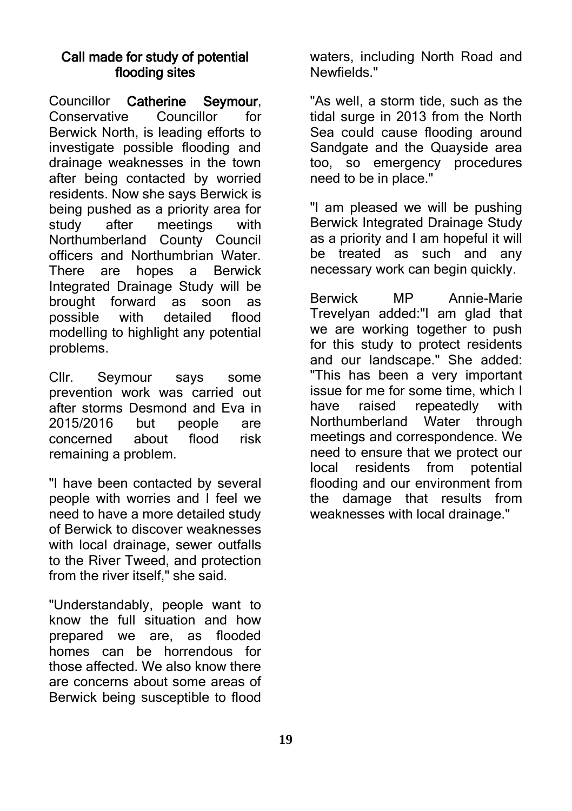#### Call made for study of potential flooding sites

Councillor Catherine Seymour, Conservative Councillor for Berwick North, is leading efforts to investigate possible flooding and drainage weaknesses in the town after being contacted by worried residents. Now she says Berwick is being pushed as a priority area for study after meetings with Northumberland County Council officers and Northumbrian Water. There are hopes a Berwick Integrated Drainage Study will be brought forward as soon as possible with detailed flood modelling to highlight any potential problems.

Cllr. Seymour says some prevention work was carried out after storms Desmond and Eva in 2015/2016 but people are concerned about flood risk remaining a problem.

"I have been contacted by several people with worries and I feel we need to have a more detailed study of Berwick to discover weaknesses with local drainage, sewer outfalls to the River Tweed, and protection from the river itself," she said.

"Understandably, people want to know the full situation and how prepared we are, as flooded homes can be horrendous for those affected. We also know there are concerns about some areas of Berwick being susceptible to flood waters, including North Road and Newfields."

"As well, a storm tide, such as the tidal surge in 2013 from the North Sea could cause flooding around Sandgate and the Quayside area too, so emergency procedures need to be in place."

"I am pleased we will be pushing Berwick Integrated Drainage Study as a priority and I am hopeful it will be treated as such and any necessary work can begin quickly.

Berwick MP Annie-Marie Trevelyan added:"I am glad that we are working together to push for this study to protect residents and our landscape." She added: "This has been a very important issue for me for some time, which I have raised repeatedly with Northumberland Water through meetings and correspondence. We need to ensure that we protect our local residents from potential flooding and our environment from the damage that results from weaknesses with local drainage."